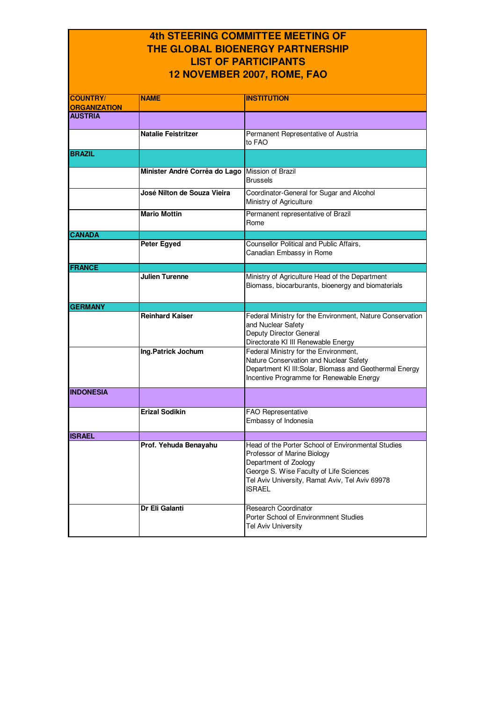## **4th STEERING COMMITTEE MEETING OF THE GLOBAL BIOENERGY PARTNERSHIP LIST OF PARTICIPANTS 12 NOVEMBER 2007, ROME, FAO**

| <b>COUNTRY/</b>     | <b>NAME</b>                   | <b>INSTITUTION</b>                                                                                                                                                                                                        |
|---------------------|-------------------------------|---------------------------------------------------------------------------------------------------------------------------------------------------------------------------------------------------------------------------|
| <b>ORGANIZATION</b> |                               |                                                                                                                                                                                                                           |
| <b>AUSTRIA</b>      |                               |                                                                                                                                                                                                                           |
|                     | <b>Natalie Feistritzer</b>    | Permanent Representative of Austria<br>to FAO                                                                                                                                                                             |
| <b>BRAZIL</b>       |                               |                                                                                                                                                                                                                           |
|                     | Minister André Corrêa do Lago | Mission of Brazil<br><b>Brussels</b>                                                                                                                                                                                      |
|                     | José Nilton de Souza Vieira   | Coordinator-General for Sugar and Alcohol<br>Ministry of Agriculture                                                                                                                                                      |
|                     | <b>Mario Mottin</b>           | Permanent representative of Brazil<br>Rome                                                                                                                                                                                |
| <b>CANADA</b>       |                               |                                                                                                                                                                                                                           |
|                     | Peter Egyed                   | Counsellor Political and Public Affairs,<br>Canadian Embassy in Rome                                                                                                                                                      |
| <b>FRANCE</b>       |                               |                                                                                                                                                                                                                           |
|                     | <b>Julien Turenne</b>         | Ministry of Agriculture Head of the Department<br>Biomass, biocarburants, bioenergy and biomaterials                                                                                                                      |
| <b>GERMANY</b>      |                               |                                                                                                                                                                                                                           |
|                     | <b>Reinhard Kaiser</b>        | Federal Ministry for the Environment, Nature Conservation<br>and Nuclear Safety<br>Deputy Director General<br>Directorate KI III Renewable Energy                                                                         |
|                     | Ing.Patrick Jochum            | Federal Ministry for the Environment,<br>Nature Conservation and Nuclear Safety<br>Department KI III: Solar, Biomass and Geothermal Energy<br>Incentive Programme for Renewable Energy                                    |
| <b>INDONESIA</b>    |                               |                                                                                                                                                                                                                           |
|                     | <b>Erizal Sodikin</b>         | FAO Representative<br>Embassy of Indonesia                                                                                                                                                                                |
| <b>ISRAEL</b>       |                               |                                                                                                                                                                                                                           |
|                     | Prof. Yehuda Benayahu         | Head of the Porter School of Environmental Studies<br>Professor of Marine Biology<br>Department of Zoology<br>George S. Wise Faculty of Life Sciences<br>Tel Aviv University, Ramat Aviv, Tel Aviv 69978<br><b>ISRAEL</b> |
|                     | Dr Eli Galanti                | <b>Research Coordinator</b><br>Porter School of Environmnent Studies<br><b>Tel Aviv University</b>                                                                                                                        |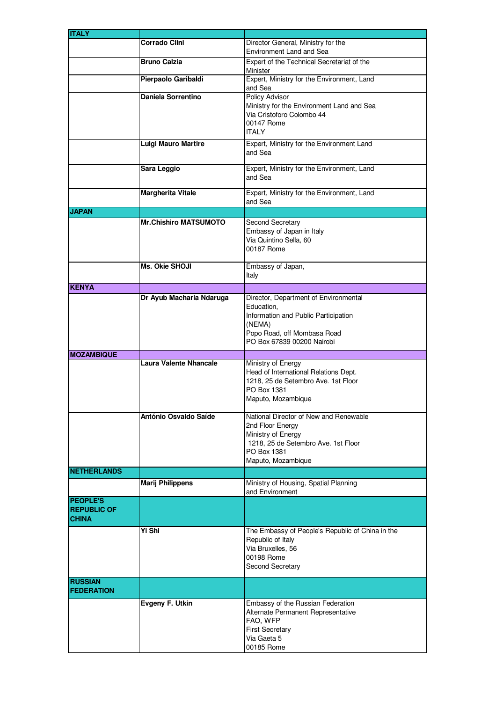| <b>ITALY</b>       |                               |                                                  |
|--------------------|-------------------------------|--------------------------------------------------|
|                    | <b>Corrado Clini</b>          | Director General, Ministry for the               |
|                    |                               | Environment Land and Sea                         |
|                    | <b>Bruno Calzia</b>           | Expert of the Technical Secretariat of the       |
|                    |                               | Minister                                         |
|                    | Pierpaolo Garibaldi           | Expert, Ministry for the Environment, Land       |
|                    |                               | and Sea                                          |
|                    | <b>Daniela Sorrentino</b>     | Policy Advisor                                   |
|                    |                               | Ministry for the Environment Land and Sea        |
|                    |                               | Via Cristoforo Colombo 44                        |
|                    |                               | 00147 Rome                                       |
|                    |                               | <b>ITALY</b>                                     |
|                    | <b>Luigi Mauro Martire</b>    | Expert, Ministry for the Environment Land        |
|                    |                               | and Sea                                          |
|                    |                               |                                                  |
|                    | Sara Leggio                   | Expert, Ministry for the Environment, Land       |
|                    |                               | and Sea                                          |
|                    | <b>Margherita Vitale</b>      | Expert, Ministry for the Environment, Land       |
|                    |                               | and Sea                                          |
| <b>JAPAN</b>       |                               |                                                  |
|                    | <b>Mr.Chishiro MATSUMOTO</b>  | Second Secretary                                 |
|                    |                               | Embassy of Japan in Italy                        |
|                    |                               | Via Quintino Sella, 60                           |
|                    |                               | 00187 Rome                                       |
|                    |                               |                                                  |
|                    | Ms. Okie SHOJI                | Embassy of Japan,                                |
|                    |                               | Italy                                            |
| <b>KENYA</b>       |                               |                                                  |
|                    | Dr Ayub Macharia Ndaruga      | Director, Department of Environmental            |
|                    |                               | Education,                                       |
|                    |                               | Information and Public Participation             |
|                    |                               | (NEMA)                                           |
|                    |                               | Popo Road, off Mombasa Road                      |
|                    |                               | PO Box 67839 00200 Nairobi                       |
|                    |                               |                                                  |
| <b>MOZAMBIQUE</b>  | <b>Laura Valente Nhancale</b> | Ministry of Energy                               |
|                    |                               | Head of International Relations Dept.            |
|                    |                               | 1218, 25 de Setembro Ave. 1st Floor              |
|                    |                               | PO Box 1381                                      |
|                    |                               | Maputo, Mozambique                               |
|                    |                               |                                                  |
|                    | António Osvaldo Saíde         | National Director of New and Renewable           |
|                    |                               | 2nd Floor Energy                                 |
|                    |                               | Ministry of Energy                               |
|                    |                               | 1218, 25 de Setembro Ave. 1st Floor              |
|                    |                               | PO Box 1381                                      |
|                    |                               | Maputo, Mozambique                               |
| <b>NETHERLANDS</b> |                               |                                                  |
|                    | <b>Marij Philippens</b>       | Ministry of Housing, Spatial Planning            |
|                    |                               | and Environment                                  |
| <b>PEOPLE'S</b>    |                               |                                                  |
| <b>REPUBLIC OF</b> |                               |                                                  |
| <b>CHINA</b>       |                               |                                                  |
|                    | Yi Shi                        | The Embassy of People's Republic of China in the |
|                    |                               | Republic of Italy                                |
|                    |                               | Via Bruxelles, 56                                |
|                    |                               | 00198 Rome                                       |
|                    |                               | Second Secretary                                 |
|                    |                               |                                                  |
| <b>RUSSIAN</b>     |                               |                                                  |
| <b>FEDERATION</b>  |                               |                                                  |
|                    | Evgeny F. Utkin               | Embassy of the Russian Federation                |
|                    |                               | Alternate Permanent Representative               |
|                    |                               | FAO, WFP                                         |
|                    |                               | <b>First Secretary</b>                           |
|                    |                               | Via Gaeta 5                                      |
|                    |                               | 00185 Rome                                       |
|                    |                               |                                                  |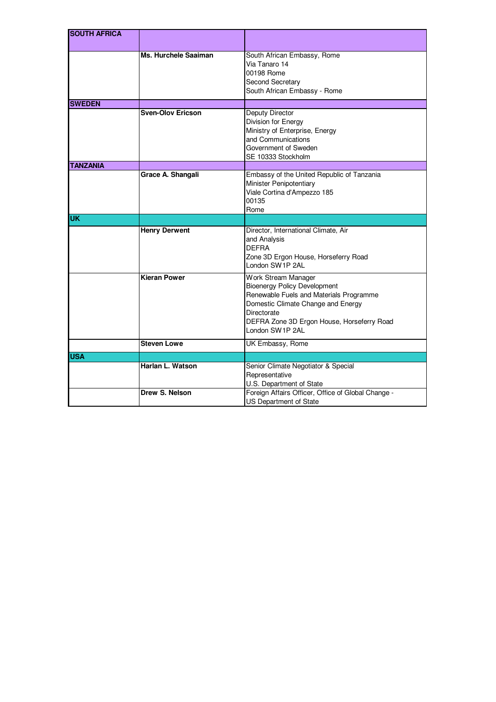| <b>SOUTH AFRICA</b> |                          |                                                                                                                                                                                                                             |
|---------------------|--------------------------|-----------------------------------------------------------------------------------------------------------------------------------------------------------------------------------------------------------------------------|
|                     |                          |                                                                                                                                                                                                                             |
|                     | Ms. Hurchele Saaiman     | South African Embassy, Rome<br>Via Tanaro 14<br>00198 Rome<br>Second Secretary<br>South African Embassy - Rome                                                                                                              |
| <b>SWEDEN</b>       |                          |                                                                                                                                                                                                                             |
|                     | <b>Sven-Olov Ericson</b> | Deputy Director<br>Division for Energy<br>Ministry of Enterprise, Energy<br>and Communications<br>Government of Sweden<br>SE 10333 Stockholm                                                                                |
| <b>TANZANIA</b>     |                          |                                                                                                                                                                                                                             |
|                     | Grace A. Shangali        | Embassy of the United Republic of Tanzania<br>Minister Penipotentiary<br>Viale Cortina d'Ampezzo 185<br>00135<br>Rome                                                                                                       |
| <b>UK</b>           |                          |                                                                                                                                                                                                                             |
|                     | <b>Henry Derwent</b>     | Director, International Climate, Air<br>and Analysis<br><b>DEFRA</b><br>Zone 3D Ergon House, Horseferry Road<br>London SW1P 2AL                                                                                             |
|                     | <b>Kieran Power</b>      | Work Stream Manager<br><b>Bioenergy Policy Development</b><br>Renewable Fuels and Materials Programme<br>Domestic Climate Change and Energy<br>Directorate<br>DEFRA Zone 3D Ergon House, Horseferry Road<br>London SW1P 2AL |
|                     | <b>Steven Lowe</b>       | UK Embassy, Rome                                                                                                                                                                                                            |
| <b>IUSA</b>         |                          |                                                                                                                                                                                                                             |
|                     | Harlan L. Watson         | Senior Climate Negotiator & Special<br>Representative<br>U.S. Department of State                                                                                                                                           |
|                     | Drew S. Nelson           | Foreign Affairs Officer, Office of Global Change -<br><b>US Department of State</b>                                                                                                                                         |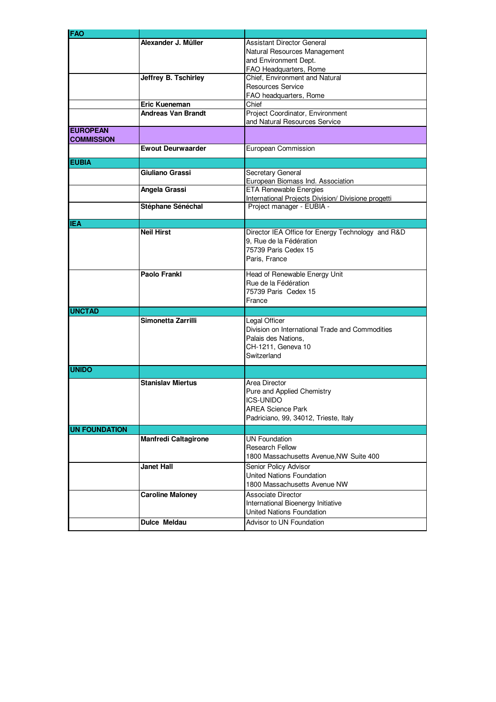| <b>FAO</b>           |                             |                                                     |
|----------------------|-----------------------------|-----------------------------------------------------|
|                      | Alexander J. Müller         | <b>Assistant Director General</b>                   |
|                      |                             | Natural Resources Management                        |
|                      |                             | and Environment Dept.                               |
|                      |                             | FAO Headquarters, Rome                              |
|                      |                             |                                                     |
|                      | Jeffrey B. Tschirley        | Chief, Environment and Natural                      |
|                      |                             | Resources Service                                   |
|                      |                             | FAO headquarters, Rome                              |
|                      | Eric Kueneman               | Chief                                               |
|                      | <b>Andreas Van Brandt</b>   | Project Coordinator, Environment                    |
|                      |                             | and Natural Resources Service                       |
| <b>EUROPEAN</b>      |                             |                                                     |
| <b>COMMISSION</b>    |                             |                                                     |
|                      | <b>Ewout Deurwaarder</b>    | European Commission                                 |
|                      |                             |                                                     |
| <b>EUBIA</b>         |                             |                                                     |
|                      | Giuliano Grassi             | Secretary General                                   |
|                      |                             | European Biomass Ind. Association                   |
|                      | Angela Grassi               | <b>ETA Renewable Energies</b>                       |
|                      |                             | International Projects Division/ Divisione progetti |
|                      |                             |                                                     |
|                      | Stéphane Sénéchal           | Project manager - EUBIA -                           |
|                      |                             |                                                     |
| <b>IEA</b>           |                             |                                                     |
|                      | <b>Neil Hirst</b>           | Director IEA Office for Energy Technology and R&D   |
|                      |                             | 9. Rue de la Fédération                             |
|                      |                             | 75739 Paris Cedex 15                                |
|                      |                             | Paris, France                                       |
|                      |                             |                                                     |
|                      | <b>Paolo Frankl</b>         | Head of Renewable Energy Unit                       |
|                      |                             | Rue de la Fédération                                |
|                      |                             | 75739 Paris Cedex 15                                |
|                      |                             | France                                              |
| <b>UNCTAD</b>        |                             |                                                     |
|                      | Simonetta Zarrilli          |                                                     |
|                      |                             | Legal Officer                                       |
|                      |                             | Division on International Trade and Commodities     |
|                      |                             | Palais des Nations,                                 |
|                      |                             | CH-1211, Geneva 10                                  |
|                      |                             | Switzerland                                         |
|                      |                             |                                                     |
| <b>UNIDO</b>         |                             |                                                     |
|                      | <b>Stanislav Miertus</b>    | Area Director                                       |
|                      |                             | Pure and Applied Chemistry                          |
|                      |                             | <b>ICS-UNIDO</b>                                    |
|                      |                             |                                                     |
|                      |                             | <b>AREA Science Park</b>                            |
|                      |                             | Padriciano, 99, 34012, Trieste, Italy               |
| <b>UN FOUNDATION</b> |                             |                                                     |
|                      | <b>Manfredi Caltagirone</b> | <b>UN Foundation</b>                                |
|                      |                             | <b>Research Fellow</b>                              |
|                      |                             | 1800 Massachusetts Avenue, NW Suite 400             |
|                      |                             |                                                     |
|                      | <b>Janet Hall</b>           | Senior Policy Advisor                               |
|                      |                             | United Nations Foundation                           |
|                      |                             | 1800 Massachusetts Avenue NW                        |
|                      | <b>Caroline Maloney</b>     | <b>Associate Director</b>                           |
|                      |                             | International Bioenergy Initiative                  |
|                      |                             |                                                     |
|                      |                             | United Nations Foundation                           |
|                      | Dulce Meldau                | Advisor to UN Foundation                            |